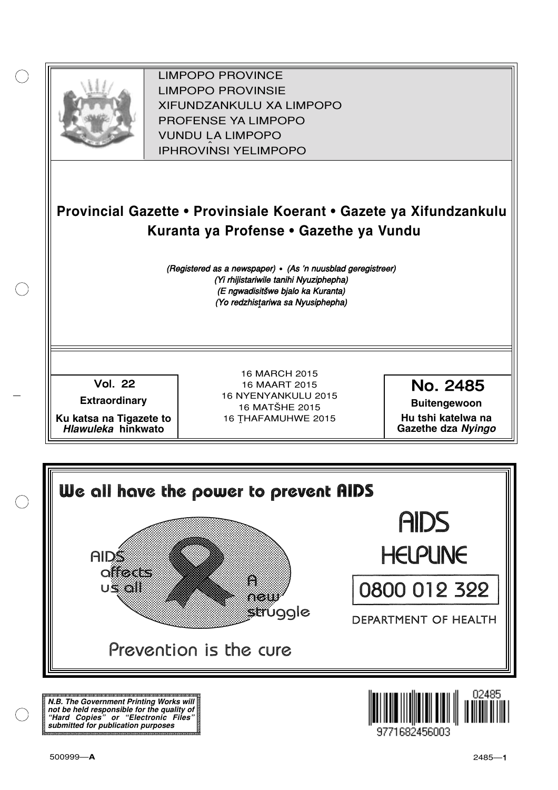

XIFUNDZANKULU XA LIMPOPO<br>PROFENCE XA LIMPORO PROFENSE YA LIMPOPO<br>WILDOLLA LIMPORO SOUTH A LIMPOPO<br>A LIPHROVINSI YELIMPOPO LIMPOPO PROVINCE LIMPOPO PROVINSIE IPHROVINSI YELIMPOPO

# **Provincial Gazette • Provinsiale Koerant • Gazete ya Xifundzankulu Kuranta ya Profense • Gazethe ya Vundu**

(Registered as a newspaper) • (As 'n nuusblad geregistreer) (Yi rhijistariwile tanihi Nyuziphepha) (E ngwadisitšwe bjalo ka Kuranta) (Yo redzhistariwa sa Nyusiphepha)

Vol.- 22

**Extraordinary**

**Ku katsa na Tigazete to Hlawuleka hinkwato**

16 MARCH 2015 16 MAART 2015 16 NYENYANKULU 2015 16 MATŠHE 2015 16 THAFAMUHWE 2015

No. 2485

**Buitengewoon Hu tshi katelwa na Gazethe dza Nyingo**

We all hove the power to prevent RIDS AIDS **HELPLINE AIDS offects** Ä 0800 012 322 **US 61** neu struggle DEPARTMENT OF HEALTH Prevention is the cure

**N.B. The Government Printing Works will not be held responsible for the quality of "Hard Copies" or "Electronic Files" submitted for publication purposes**

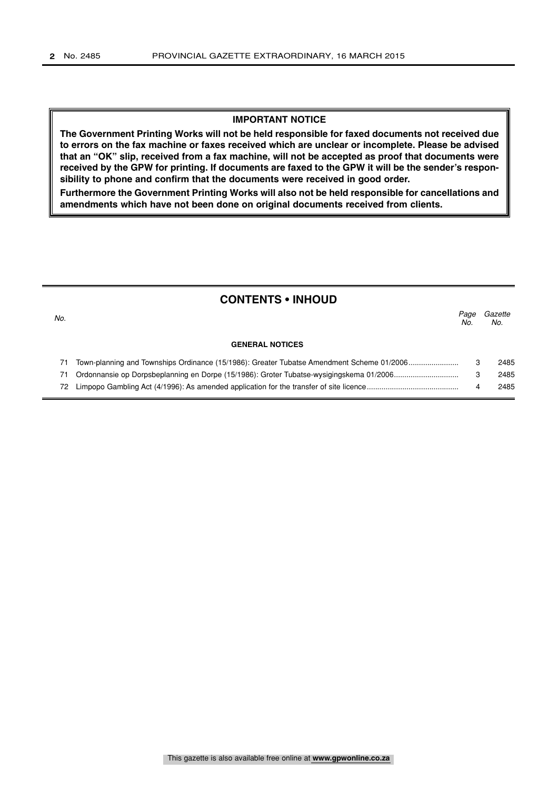#### **IMPORTANT NOTICE**

**The Government Printing Works will not be held responsible for faxed documents not received due to errors on the fax machine or faxes received which are unclear or incomplete. Please be advised that an "OK" slip, received from a fax machine, will not be accepted as proof that documents were received by the GPW for printing. If documents are faxed to the GPW it will be the sender's responsibility to phone and confirm that the documents were received in good order.**

**Furthermore the Government Printing Works will also not be held responsible for cancellations and amendments which have not been done on original documents received from clients.**

# **CONTENTS • INHOUD**

| No. |                                                                                           | Paae<br>No. | Gazette<br>No. |
|-----|-------------------------------------------------------------------------------------------|-------------|----------------|
|     | <b>GENERAL NOTICES</b>                                                                    |             |                |
|     | Town-planning and Townships Ordinance (15/1986): Greater Tubatse Amendment Scheme 01/2006 |             | 2485           |
|     |                                                                                           |             | 2485           |
| 72. |                                                                                           |             | 2485           |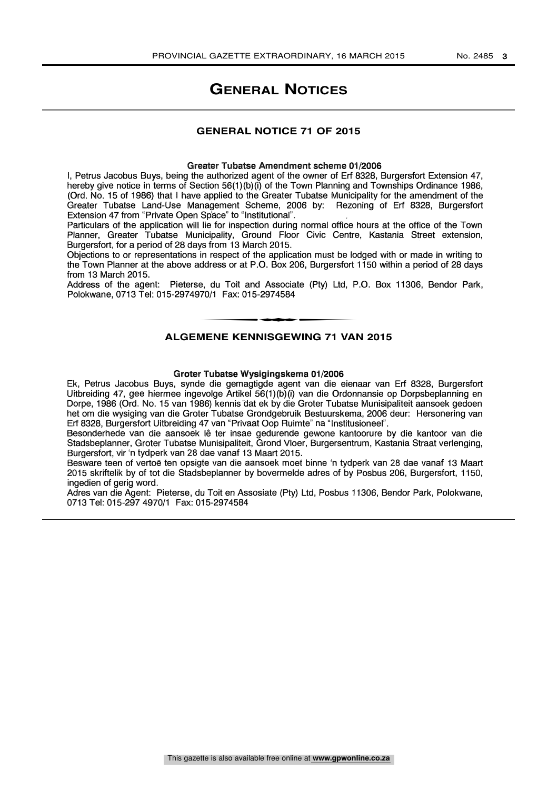# **GENERAL NOTICES**

### **GENERAL NOTICE 71 OF 2015**

#### Greater Tubatse Amendment scheme 01/2006

I, Petrus Jacobus Buys, being the authorized agent of the owner of Erf 8328, Burgersfort Extension 47, hereby give notice in terms of Section 56(1)(b)(i) of the Town Planning and Townships Ordinance 1986, (Ord. No. 15 of 1986) that I have applied to the Greater Tubatse Municipality for the amendment of the Greater Tubatse Land-Use Management Scheme, 2006 by: Rezoning of Erf 8328, Burgersfort Extension 47 from "Private Open Space" to "Institutional".

Particulars of the application will lie for inspection during normal office hours at the office of the Town Planner, Greater Tubatse Municipality, Ground Floor Civic Centre, Kastania Street extension, Burgersfort, for a period of 28 days from 13 March 2015.

Objections to or representations in respect of the application must be lodged with or made in writing to the Town Planner at the above address or at P.O. Box 206, Burgersfort 1150 within a period of 28 days from 13 March 2015.

Address of the agent: Pieterse, du Toit and Associate (Pty) Ltd, P.O. Box 11306, Bendor Park,<br>Polokwane, 0713 Tel: 015-2974970/1 Fax: 015-2974584<br>ALGENENE KENNISGEWING 71 VAN 9015 Polokwane, 0713 Tel: 015-2974970/1 Fax: 015-2974584

### **ALGEMENE KENNISGEWING 71 VAN 2015**

#### Groter Tubatse Wysigingskema 01/2006

Ek, Petrus Jacobus Buys, synde die gemagtigde agent van die eienaar van Erf 8328, Burgersfort Uitbreiding 47, gee hiermee ingevolge Artikel 56(1)(b)(i) van die Ordonnansie op Dorpsbeplanning en Dorpe, 1986 (Ord. No. 15 van 1986) kennis dat ek by die Groter Tubatse Munisipaliteit aansoek gedoen het om die wysiging van die Groter Tubatse Grondgebruik Bestuurskema, 2006 deur: Hersonering van Erf 8328, Burgersfort Uitbreiding 47 van "Privaat Oop Ruimte" na "Institusioneel".

Besonderhede van die aansoek lê ter insae gedurende gewone kantoorure by die kantoor van die Stadsbeplanner, Groter Tubatse Munisipaliteit, Grond Vloer, Burgersentrum, Kastania Straat verlenging, Burgersfort, vir 'n tydperk van 28 dae vanaf 13 Maart 2015.

Besware teen of vertoe ten opsigte van die aansoek moet binne 'n tydperk van 28 dae vanaf 13 Maart 2015 skriftelik by of tot die Stadsbeplanner by bovermelde adres of by Posbus 206, Burgersfort, 1150, ingedien of gerig word.

Adres van die Agent: Pieterse, du Toit en Assosiate (Pty) Ltd, Posbus 11306, Bendor Park, Polokwane, 0713 Tel: 015-297 4970/1 Fax: 015-2974584